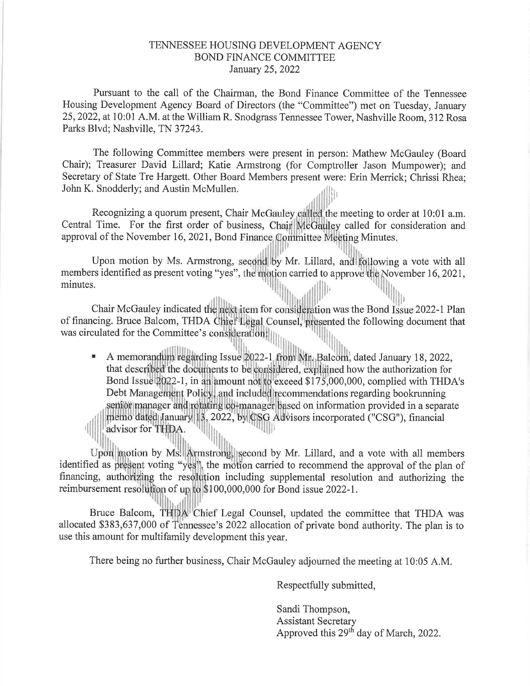## TENNESSEE HOUSING DEVELOPMENT AGENCY BOND FINANCE COMMITTEE January 25,2022

Pursuant to the call of the Chairman, the Bond Finance Committee of the Tennessee Housing Development Agency Board of Directors (the "Committee") met on Tuesday, January 25,2022, at 10:01 A.M. atthe William R. Snodgrass Tennessee Tower, Nashville Room,312 Rosa Parks Blvd; Nashville, TN 37243.

The following Committee members were present in person: Mathew McGauley (Board Chair); Treasurer David Lillard; Katie Armstrong (for Comptroller Jason Mumpower); and Secretary of State Tre Hargett. Other Board Members present were: Erin Merrick; Chrissi Rhea; John K. Snodderly; and Austin McMullen.  $||_1$ 

Recognizing a quorum present, Chair McGauley called the meeting to order at 10:01 a.m. Central Time. For the first order of business, Chair McGauley called for consideration and approval of the November 16, 2021, Bond Finance Committee Meeting Minutes l,''

Upon motion by Ms. Armstrong, second by Mr. Lillard, and following a vote with all members identified as present voting "yes", the motion carried to approve the November 16, 2021, minutes.

Chair McGauley indicated the next item for consideration was the Bond Issue 2022-1 Plan of financing. Bruce Balcom, THDA Chief Legal Counsel, presented the following document that was circulated for the Committee's consideration:  $\mathbb{E}[\mathbf{u}_1,\ldots,\mathbf{u}_n]$ 

A memorandum regarding Issue 2022-1 from Mr. Balcom, dated January 18, 2022 that described the documents to be considered, explained how the authorization for Bond Issue 2022-1, in an amount not to exceed \$175,000,000, complied with THDA's I Debt Management Policy, and included recommendations regarding bookrunning senior manager and rotating co-manager based on information provided in a separate 2022, by CSG Advisors incorporated ("CSG"), financial  $\left\| \left\| \right\|$  advisor for THDA.  $\left\| \right\|$ fr

by Ms. Armstrong, second by Mr. Lillard, and a vote with all members identified as present voting "yes", the motion carried to recommend the approval of the plan of financing, authorizing the resolution including supplemental resolution and authorizing the reimbursement resolution of up to \$100,000,000 for Bond issue 2022-1.

Bruce Balcom, THDA Chief Legal Counsel, updated the committee that THDA was allocated \$383,637,000 of Tennessee's 2022 allocation of private bond authority. The plan is to use this amount for multifamily development this year

There being no further business, Chair McGauley adjourned the meeting at 10:05 A.M.

Respectfully submitted,

Sandi Thompson, Assistant Secretary Approved this 29<sup>th</sup> day of March, 2022.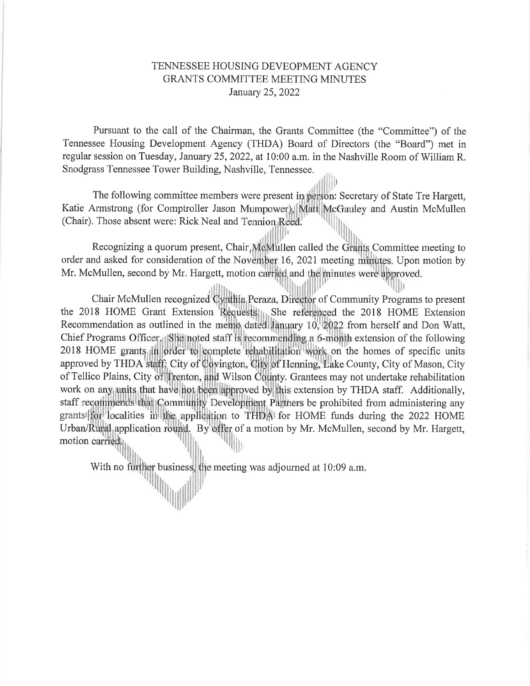## TENNESSEE HOUSING DEVEOPMENT AGENCY GRANTS COMMITTEE MEETING MINUTES January 25,2022

Pursuant to the call of the Chairman, the Grants Committee (the "Committee") of the Tennessee Housing Development Agency (THDA) Board of Directors (the "Board") met in regular session on Tuesday, January 25,2022, at 10:00 a.m. in the Nashville Room of William R. Snodgrass Tennessee Tower Building, Nashville, Tennessee. ii,

The following committee members were present in person: Secretary of State Tre Hargett, Katie Armstrong (for Comptroller Jason Mumpower), Matt McGauley and Austin McMullen ill (Chair). Those absent were: Rick Neal and Tennion Reed.

,

Recognizing a quorum present, Chair,McMullen called the Grants Committee meeting to order and asked for consideration of the November 16, 2021 meeting minutes. Upon motion by Mr. McMullen, second by Mr. Hargett, motion carried and the minutes were approved.

Chair McMullen recognized Cynthia Peraza, Director of Community Programs to present 2018 HOME grants in order to complete rehabilitation work on the homes of specific units approved by THDA staff: City of Covington, City of Henning, Lake County, City of Mason, City the 2018 HOME Grant Extension Requests. She referenced the 2018 HOME Extension Recommendation as outlined in the memo dated January 10, 2022 from herself and Don Watt, Chief Programs Officer, She noted staff is recommending a 6-month extension of the following of Tellico Plains, City of Trenton, and Wilson County. Grantees may not undertake rehabilitation work on any units that have not been approved by this extension by THDA staff. Additionally, staff recommends that Community Development Partners be prohibited from administering any grants (for localities in the application to THDA) for HOME funds during the 2022 HOME Urban/Rural application round. By offer of a motion by Mr. McMullen, second by Mr. Hargett, iir, motion carried. I lh

With no further business, the meeting was adjourned at 10:09 a.m. the<br>|

t' ,fl

itrilliti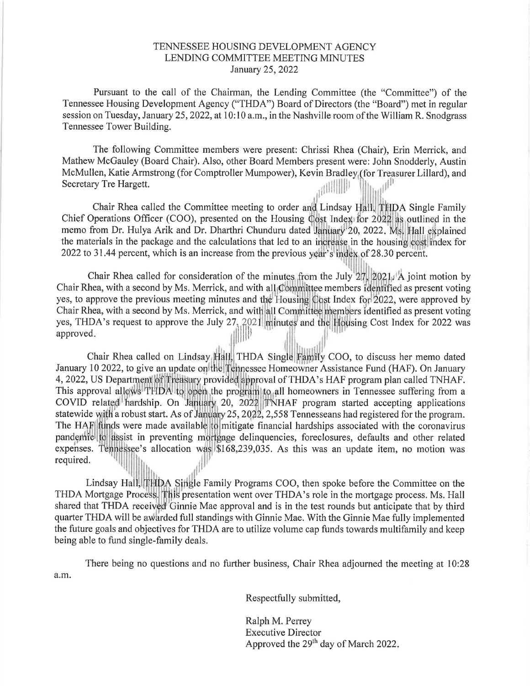## TENNESSEE HOUSING DEVELOPMENT AGENCY LENDING COMMITTEE MEETING MINUTES January 25,2022

Pursuant to the call of the Chairman, the Lending Committee (the "Committee") of the Tennessee Housing Development Agency ("THDA") Board of Directors (the "Board") met in regular session on Tuesday, January 25,2022, at 10:10 a.m., in the Nashville room ofthe William R. Snodgrass Tennessee Tower Building.

The following Committee members were present: Chrissi Rhea (Chair), Erin Merrick, and Mathew McGauley (Board Chair). Also, other Board Members present were: John Snodderly, Austin McMullen, Katie Armstrong (for Comptroller Mumpower), Kevin Bradley (for Treasurer Lillard), and Secretary Tre Hargett. ir

 $\mathbf{I}$ lli

Chair Rhea called the Committee meeting to order and Lindsay Hall, THDA Single Family Chief Operations Officer (COO), presented on the Housing Cost Index for 2022 as outlined in the 2022 to 31.44 percent, which is an increase from the previous year's index of 28.30 percent. memo from Dr. Hulya Arik and Dr. Dharthri Chunduru dated January 20, 2022. Ms. Hall explained the materials in the package and the calculations that led to an increase in the housing cost index for

Chair Rhea called for consideration of the minutes from the July 27, 2021. A joint motion by Chair Rhea, with a second by Ms. Merrick, and with all Committee members identified as present voting yes, to approve the previous meeting minutes and the Housing Cost Index for 2022, were approved by Chair Rhea, with a second by Ms. Merrick, and with all Committee members identified as present voting yes, THDA's request to approve the July 27, 2021 minutes and the Housing Cost Index for 2022 was approved llllll

Chair Rhea called on Lindsay Hall, THDA Single Family COO, to discuss her memo dated January 10 2022, to give an update on the Tennessee Homeowner Assistance Fund (HAF). On January 4, 2022, US Department of Treasury provided approval of THDA's HAF program plan called TNHAF. This approval allows THDA to open the program to all homeowners in Tennessee suffering from a COVID related hardship. On January 20, 2022 TNHAF program started accepting applications statewide with a robust start. As of January 25, 2022, 2,558 Tennesseans had registered for the program. expenses. Tennessee's allocation was \$168,239,035. As this was an update item, no motion was required. The HAF funds were made available to mitigate financial hardships associated with the coronavirus pandemic to assist in preventing mortgage delinquencies, foreclosures, defaults and other related , Ì lll

Lindsay Hall, THDA Single Family Programs COO, then spoke before the Committee on the THDA Mortgage Process. This presentation went over THDA's role in the mortgage process. Ms. Hall shared that THDA received Ginnie Mae approval and is in the test rounds but anticipate that by third quarter THDA will be awarded full standings with Ginnie Mae. With the Ginnie Mae fully implemented the future goals and objectives for THDA are to utilize volume cap funds towards multifamily and keep being able to fund single-family deals.

There being no questions and no further business, Chair Rhea adjourned the meeting at 10:28 a.m.

Respectfully submitted,

Ralph M. Perrey Executive Director Approved the  $29<sup>th</sup>$  day of March 2022.